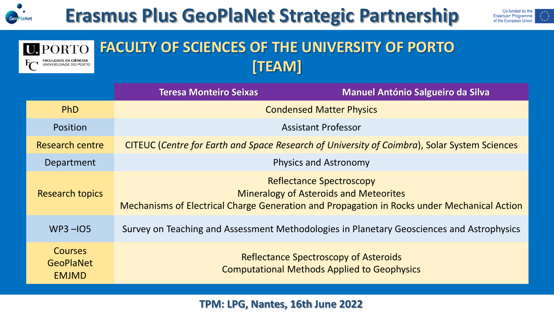

 $\Gamma$ 

## **Erasmus Plus GeoPlaNet Strategic Partnership**



#### **FACULTY OF SCIENCES OF THE UNIVERSITY OF PORTO U.**PORTO FACULDADE DE CIÊNCIAS<br>UNIVERSIDADE DO PORTO **[TEAM]**

|                                                    | <b>Teresa Monteiro Seixas</b>                                                                      | <b>Manuel António Salgueiro da Silva</b>                                                                                                                                        |
|----------------------------------------------------|----------------------------------------------------------------------------------------------------|---------------------------------------------------------------------------------------------------------------------------------------------------------------------------------|
| <b>PhD</b>                                         | <b>Condensed Matter Physics</b>                                                                    |                                                                                                                                                                                 |
| <b>Position</b>                                    | <b>Assistant Professor</b>                                                                         |                                                                                                                                                                                 |
| <b>Research centre</b>                             | CITEUC (Centre for Earth and Space Research of University of Coimbra), Solar System Sciences       |                                                                                                                                                                                 |
| Department                                         | <b>Physics and Astronomy</b>                                                                       |                                                                                                                                                                                 |
| <b>Research topics</b>                             |                                                                                                    | <b>Reflectance Spectroscopy</b><br><b>Mineralogy of Asteroids and Meteorites</b><br>Mechanisms of Electrical Charge Generation and Propagation in Rocks under Mechanical Action |
| $WP3 - 105$                                        |                                                                                                    | Survey on Teaching and Assessment Methodologies in Planetary Geosciences and Astrophysics                                                                                       |
| <b>Courses</b><br><b>GeoPlaNet</b><br><b>EMJMD</b> | <b>Reflectance Spectroscopy of Asteroids</b><br><b>Computational Methods Applied to Geophysics</b> |                                                                                                                                                                                 |

**TPM: LPG, Nantes, 16th June 2022**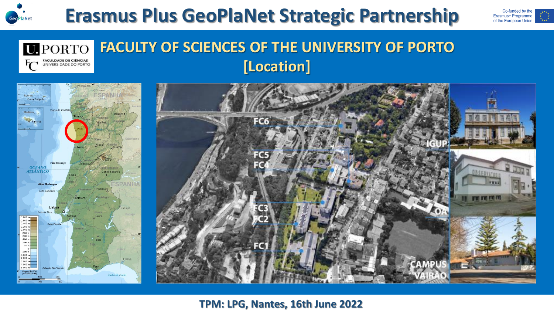



#### **FACULTY OF SCIENCES OF THE UNIVERSITY OF PORTO U.**PORTO **FACULDADE DE CIÊNCIAS<br>UNIVERSIDADE DO PORTO [Location]**





### **TPM: LPG, Nantes, 16th June 2022**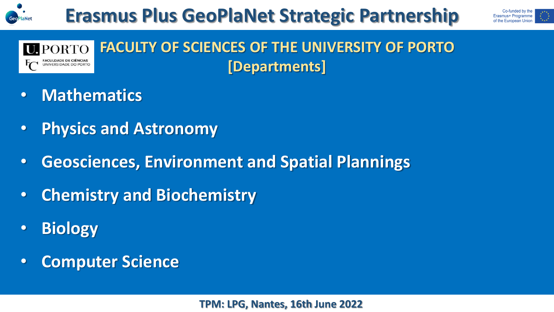



#### **FACULTY OF SCIENCES OF THE UNIVERSITY OF PORTO U.PORTO [Departments]** UNIVERSIDADE DO PORT

- **Mathematics**
- **Physics and Astronomy**
- **Geosciences, Environment and Spatial Plannings**
- **Chemistry and Biochemistry**
- **Biology**
- **Computer Science**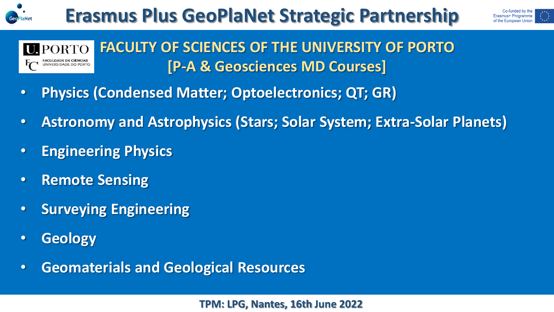





- **Physics (Condensed Matter; Optoelectronics; QT; GR)**
- **Astronomy and Astrophysics (Stars; Solar System; Extra-Solar Planets)**
- **Engineering Physics**
- **Remote Sensing**
- **Surveying Engineering**
- **Geology**
- **Geomaterials and Geological Resources**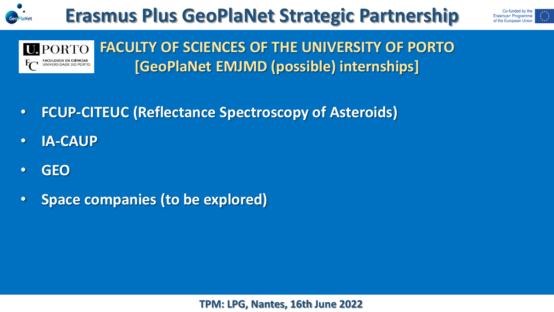





**FACULTY OF SCIENCES OF THE UNIVERSITY OF PORTO [GeoPlaNet EMJMD (possible) internships]**

- **FCUP-CITEUC (Reflectance Spectroscopy of Asteroids)**
- **IA-CAUP**
- **GEO**
- **Space companies (to be explored)**